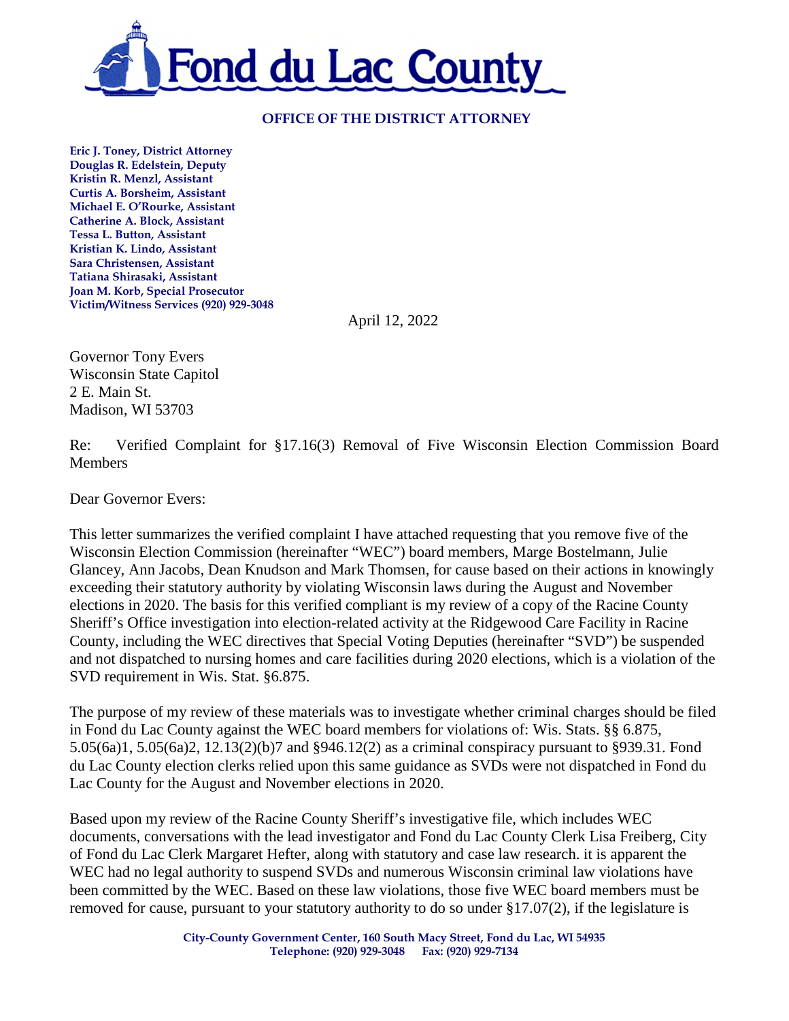

### **OFFICE OF THE DISTRICT ATTORNEY**

**Eric J. Toney, District Attorney Douglas R. Edelstein, Deputy Kristin R. Menzl, Assistant Curtis A. Borsheim, Assistant Michael E. O'Rourke, Assistant Catherine A. Block, Assistant Tessa L. Button, Assistant Kristian K. Lindo, Assistant Sara Christensen, Assistant Tatiana Shirasaki, Assistant Joan M. Korb, Special Prosecutor Victim/Witness Services (920) 929-3048** 

April 12, 2022

Governor Tony Evers Wisconsin State Capitol 2 E. Main St. Madison, WI 53703

Re: Verified Complaint for §17.16(3) Removal of Five Wisconsin Election Commission Board Members

Dear Governor Evers:

This letter summarizes the verified complaint I have attached requesting that you remove five of the Wisconsin Election Commission (hereinafter "WEC") board members, Marge Bostelmann, Julie Glancey, Ann Jacobs, Dean Knudson and Mark Thomsen, for cause based on their actions in knowingly exceeding their statutory authority by violating Wisconsin laws during the August and November elections in 2020. The basis for this verified compliant is my review of a copy of the Racine County Sheriff's Office investigation into election-related activity at the Ridgewood Care Facility in Racine County, including the WEC directives that Special Voting Deputies (hereinafter "SVD") be suspended and not dispatched to nursing homes and care facilities during 2020 elections, which is a violation of the SVD requirement in Wis. Stat. §6.875.

The purpose of my review of these materials was to investigate whether criminal charges should be filed in Fond du Lac County against the WEC board members for violations of: Wis. Stats. §§ 6.875, 5.05(6a)1, 5.05(6a)2, 12.13(2)(b)7 and §946.12(2) as a criminal conspiracy pursuant to §939.31. Fond du Lac County election clerks relied upon this same guidance as SVDs were not dispatched in Fond du Lac County for the August and November elections in 2020.

Based upon my review of the Racine County Sheriff's investigative file, which includes WEC documents, conversations with the lead investigator and Fond du Lac County Clerk Lisa Freiberg, City of Fond du Lac Clerk Margaret Hefter, along with statutory and case law research. it is apparent the WEC had no legal authority to suspend SVDs and numerous Wisconsin criminal law violations have been committed by the WEC. Based on these law violations, those five WEC board members must be removed for cause, pursuant to your statutory authority to do so under  $\S17.07(2)$ , if the legislature is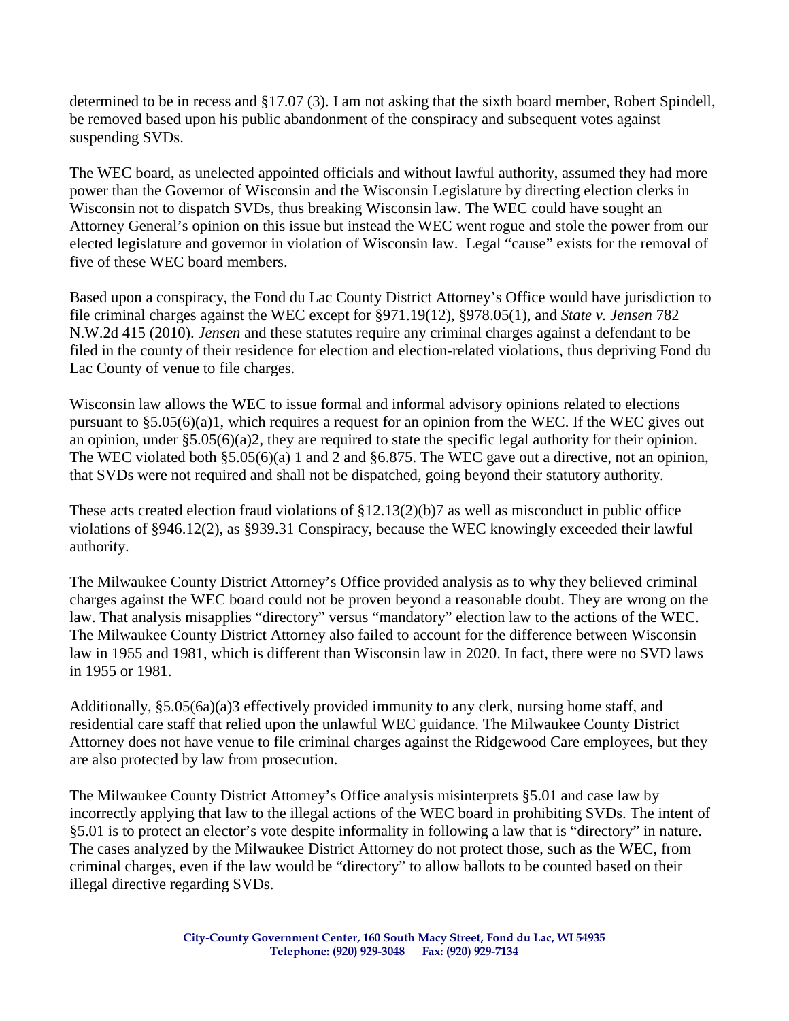determined to be in recess and §17.07 (3). I am not asking that the sixth board member, Robert Spindell, be removed based upon his public abandonment of the conspiracy and subsequent votes against suspending SVDs.

The WEC board, as unelected appointed officials and without lawful authority, assumed they had more power than the Governor of Wisconsin and the Wisconsin Legislature by directing election clerks in Wisconsin not to dispatch SVDs, thus breaking Wisconsin law. The WEC could have sought an Attorney General's opinion on this issue but instead the WEC went rogue and stole the power from our elected legislature and governor in violation of Wisconsin law. Legal "cause" exists for the removal of five of these WEC board members.

Based upon a conspiracy, the Fond du Lac County District Attorney's Office would have jurisdiction to file criminal charges against the WEC except for §971.19(12), §978.05(1), and *State v. Jensen* 782 N.W.2d 415 (2010). *Jensen* and these statutes require any criminal charges against a defendant to be filed in the county of their residence for election and election-related violations, thus depriving Fond du Lac County of venue to file charges.

Wisconsin law allows the WEC to issue formal and informal advisory opinions related to elections pursuant to §5.05(6)(a)1, which requires a request for an opinion from the WEC. If the WEC gives out an opinion, under §5.05(6)(a)2, they are required to state the specific legal authority for their opinion. The WEC violated both §5.05(6)(a) 1 and 2 and §6.875. The WEC gave out a directive, not an opinion, that SVDs were not required and shall not be dispatched, going beyond their statutory authority.

These acts created election fraud violations of §12.13(2)(b)7 as well as misconduct in public office violations of §946.12(2), as §939.31 Conspiracy, because the WEC knowingly exceeded their lawful authority.

The Milwaukee County District Attorney's Office provided analysis as to why they believed criminal charges against the WEC board could not be proven beyond a reasonable doubt. They are wrong on the law. That analysis misapplies "directory" versus "mandatory" election law to the actions of the WEC. The Milwaukee County District Attorney also failed to account for the difference between Wisconsin law in 1955 and 1981, which is different than Wisconsin law in 2020. In fact, there were no SVD laws in 1955 or 1981.

Additionally,  $\S 5.05(6a)(a)3$  effectively provided immunity to any clerk, nursing home staff, and residential care staff that relied upon the unlawful WEC guidance. The Milwaukee County District Attorney does not have venue to file criminal charges against the Ridgewood Care employees, but they are also protected by law from prosecution.

The Milwaukee County District Attorney's Office analysis misinterprets §5.01 and case law by incorrectly applying that law to the illegal actions of the WEC board in prohibiting SVDs. The intent of §5.01 is to protect an elector's vote despite informality in following a law that is "directory" in nature. The cases analyzed by the Milwaukee District Attorney do not protect those, such as the WEC, from criminal charges, even if the law would be "directory" to allow ballots to be counted based on their illegal directive regarding SVDs.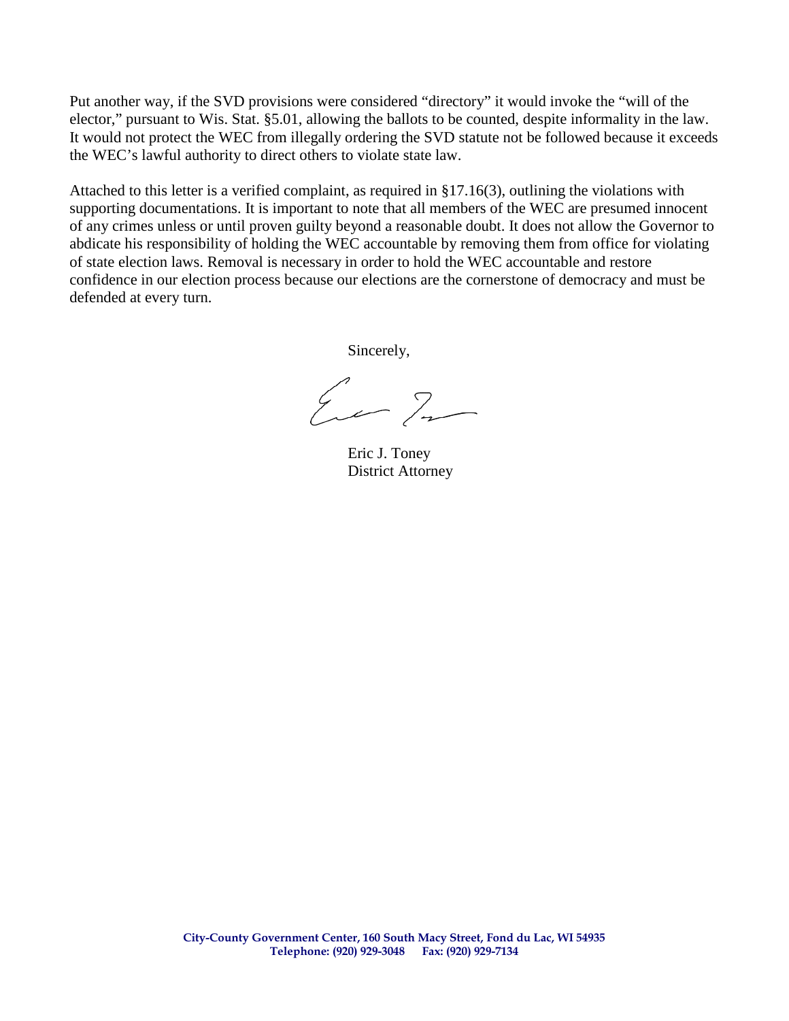Put another way, if the SVD provisions were considered "directory" it would invoke the "will of the elector," pursuant to Wis. Stat. §5.01, allowing the ballots to be counted, despite informality in the law. It would not protect the WEC from illegally ordering the SVD statute not be followed because it exceeds the WEC's lawful authority to direct others to violate state law.

Attached to this letter is a verified complaint, as required in §17.16(3), outlining the violations with supporting documentations. It is important to note that all members of the WEC are presumed innocent of any crimes unless or until proven guilty beyond a reasonable doubt. It does not allow the Governor to abdicate his responsibility of holding the WEC accountable by removing them from office for violating of state election laws. Removal is necessary in order to hold the WEC accountable and restore confidence in our election process because our elections are the cornerstone of democracy and must be defended at every turn.

Sincerely,

Eur In

Eric J. Toney District Attorney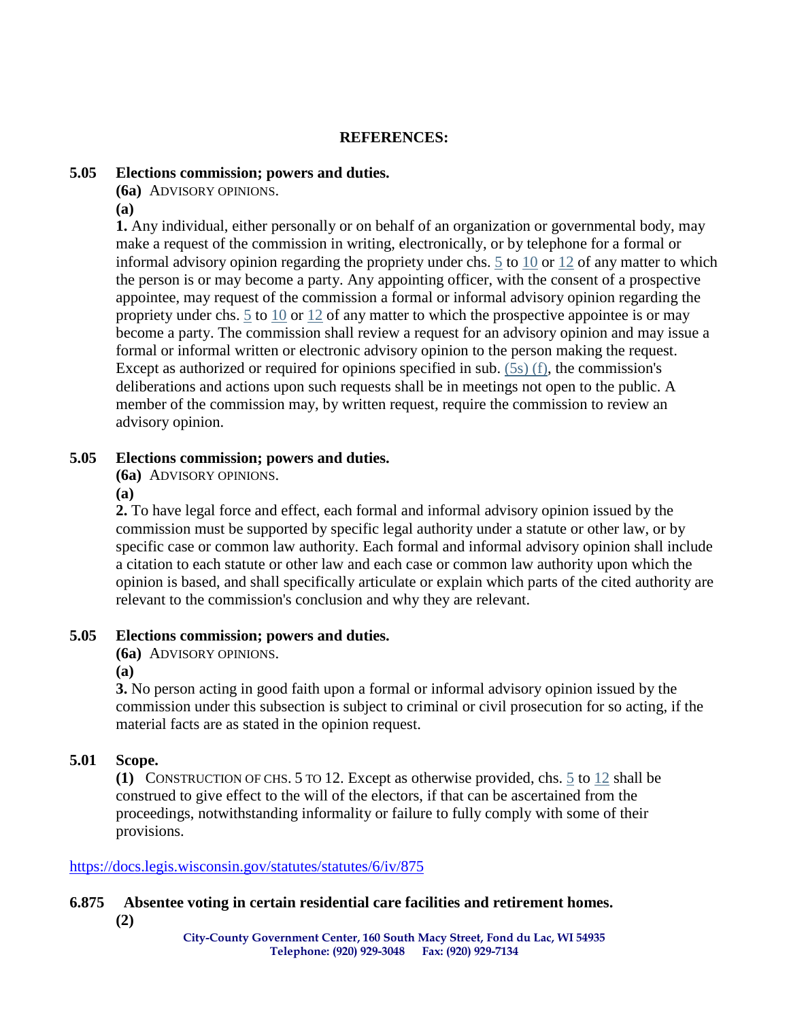### **REFERENCES:**

#### **5.05 Elections commission; powers and duties.**

**(6a)** ADVISORY OPINIONS.

**(a)** 

**1.** Any individual, either personally or on behalf of an organization or governmental body, may make a request of the commission in writing, electronically, or by telephone for a formal or informal advisory opinion regarding the propriety under chs.  $\frac{5}{10}$  to  $\frac{10}{12}$  of any matter to which the person is or may become a party. Any appointing officer, with the consent of a prospective appointee, may request of the commission a formal or informal advisory opinion regarding the propriety under chs. [5](https://docs.legis.wisconsin.gov/document/statutes/ch.%205) to [10](https://docs.legis.wisconsin.gov/document/statutes/ch.%2010) or [12](https://docs.legis.wisconsin.gov/document/statutes/ch.%2012) of any matter to which the prospective appointee is or may become a party. The commission shall review a request for an advisory opinion and may issue a formal or informal written or electronic advisory opinion to the person making the request. Except as authorized or required for opinions specified in sub. [\(5s\) \(f\),](https://docs.legis.wisconsin.gov/document/statutes/5.05(5s)(f)) the commission's deliberations and actions upon such requests shall be in meetings not open to the public. A member of the commission may, by written request, require the commission to review an advisory opinion.

### **5.05 Elections commission; powers and duties.**

**(6a)** ADVISORY OPINIONS.

**(a)** 

**2.** To have legal force and effect, each formal and informal advisory opinion issued by the commission must be supported by specific legal authority under a statute or other law, or by specific case or common law authority. Each formal and informal advisory opinion shall include a citation to each statute or other law and each case or common law authority upon which the opinion is based, and shall specifically articulate or explain which parts of the cited authority are relevant to the commission's conclusion and why they are relevant.

# **5.05 Elections commission; powers and duties.**

**(6a)** ADVISORY OPINIONS.

**(a)** 

**3.** No person acting in good faith upon a formal or informal advisory opinion issued by the commission under this subsection is subject to criminal or civil prosecution for so acting, if the material facts are as stated in the opinion request.

# **5.01 Scope.**

**(1)** CONSTRUCTION OF CHS. 5 TO 12. Except as otherwise provided, chs. [5](https://docs.legis.wisconsin.gov/document/statutes/ch.%205) to [12](https://docs.legis.wisconsin.gov/document/statutes/ch.%2012) shall be construed to give effect to the will of the electors, if that can be ascertained from the proceedings, notwithstanding informality or failure to fully comply with some of their provisions.

#### <https://docs.legis.wisconsin.gov/statutes/statutes/6/iv/875>

**6.875 Absentee voting in certain residential care facilities and retirement homes. (2)**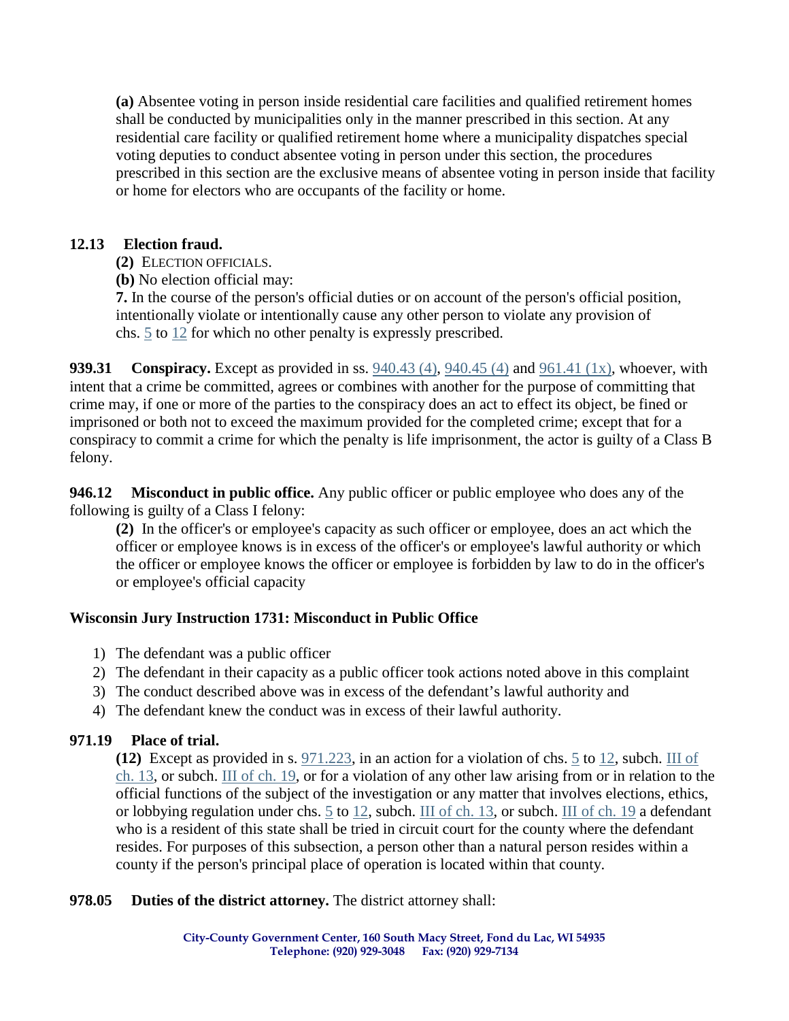**(a)** Absentee voting in person inside residential care facilities and qualified retirement homes shall be conducted by municipalities only in the manner prescribed in this section. At any residential care facility or qualified retirement home where a municipality dispatches special voting deputies to conduct absentee voting in person under this section, the procedures prescribed in this section are the exclusive means of absentee voting in person inside that facility or home for electors who are occupants of the facility or home.

# **12.13 Election fraud.**

- **(2)** ELECTION OFFICIALS.
- **(b)** No election official may:

**7.** In the course of the person's official duties or on account of the person's official position, intentionally violate or intentionally cause any other person to violate any provision of chs. [5](https://docs.legis.wisconsin.gov/document/statutes/ch.%205) to [12](https://docs.legis.wisconsin.gov/document/statutes/ch.%2012) for which no other penalty is expressly prescribed.

**939.31 Conspiracy.** Except as provided in ss. [940.43 \(4\),](https://docs.legis.wisconsin.gov/document/statutes/940.43(4)) [940.45 \(4\)](https://docs.legis.wisconsin.gov/document/statutes/940.45(4)) and [961.41 \(1x\),](https://docs.legis.wisconsin.gov/document/statutes/961.41(1x)) whoever, with intent that a crime be committed, agrees or combines with another for the purpose of committing that crime may, if one or more of the parties to the conspiracy does an act to effect its object, be fined or imprisoned or both not to exceed the maximum provided for the completed crime; except that for a conspiracy to commit a crime for which the penalty is life imprisonment, the actor is guilty of a Class B felony.

**946.12 Misconduct in public office.** Any public officer or public employee who does any of the following is guilty of a Class I felony:

**(2)** In the officer's or employee's capacity as such officer or employee, does an act which the officer or employee knows is in excess of the officer's or employee's lawful authority or which the officer or employee knows the officer or employee is forbidden by law to do in the officer's or employee's official capacity

# **Wisconsin Jury Instruction 1731: Misconduct in Public Office**

- 1) The defendant was a public officer
- 2) The defendant in their capacity as a public officer took actions noted above in this complaint
- 3) The conduct described above was in excess of the defendant's lawful authority and
- 4) The defendant knew the conduct was in excess of their lawful authority.

# **971.19 Place of trial.**

**(12)** Except as provided in s. [971.223,](https://docs.legis.wisconsin.gov/document/statutes/971.223) in an action for a violation of chs. [5](https://docs.legis.wisconsin.gov/document/statutes/ch.%205) to [12,](https://docs.legis.wisconsin.gov/document/statutes/ch.%2012) subch. [III of](https://docs.legis.wisconsin.gov/document/statutes/subch.%20III%20of%20ch.%2013)  [ch. 13,](https://docs.legis.wisconsin.gov/document/statutes/subch.%20III%20of%20ch.%2013) or subch. [III of ch. 19,](https://docs.legis.wisconsin.gov/document/statutes/subch.%20III%20of%20ch.%2019) or for a violation of any other law arising from or in relation to the official functions of the subject of the investigation or any matter that involves elections, ethics, or lobbying regulation under chs. [5](https://docs.legis.wisconsin.gov/document/statutes/ch.%205) to [12,](https://docs.legis.wisconsin.gov/document/statutes/ch.%2012) subch. [III of ch. 13,](https://docs.legis.wisconsin.gov/document/statutes/subch.%20III%20of%20ch.%2013) or subch. [III of ch. 19](https://docs.legis.wisconsin.gov/document/statutes/subch.%20III%20of%20ch.%2019) a defendant who is a resident of this state shall be tried in circuit court for the county where the defendant resides. For purposes of this subsection, a person other than a natural person resides within a county if the person's principal place of operation is located within that county.

**978.05 Duties of the district attorney.** The district attorney shall: